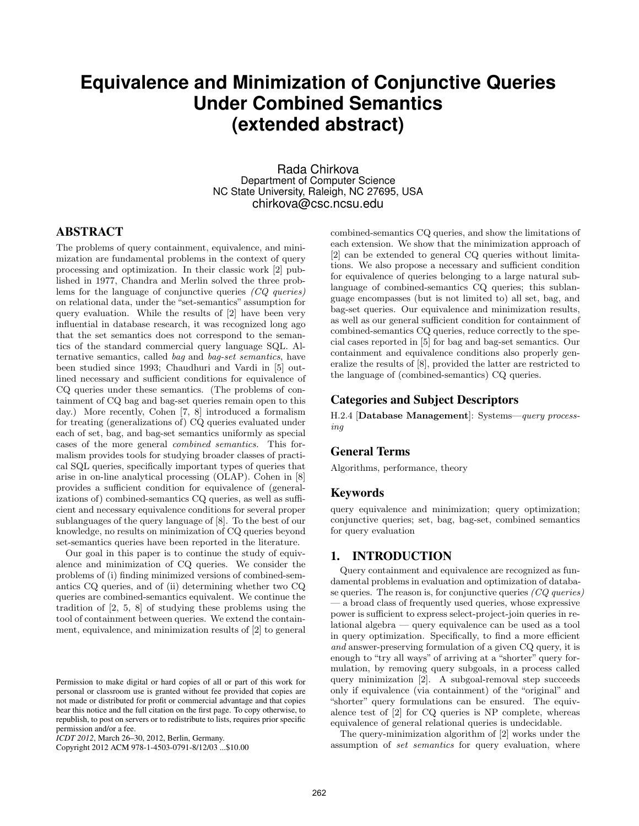# **Equivalence and Minimization of Conjunctive Queries Under Combined Semantics (extended abstract)**

Rada Chirkova Department of Computer Science NC State University, Raleigh, NC 27695, USA chirkova@csc.ncsu.edu

# ABSTRACT

The problems of query containment, equivalence, and minimization are fundamental problems in the context of query processing and optimization. In their classic work [2] published in 1977, Chandra and Merlin solved the three problems for the language of conjunctive queries (CQ queries) on relational data, under the "set-semantics" assumption for query evaluation. While the results of [2] have been very influential in database research, it was recognized long ago that the set semantics does not correspond to the semantics of the standard commercial query language SQL. Alternative semantics, called bag and bag-set semantics, have been studied since 1993; Chaudhuri and Vardi in [5] outlined necessary and sufficient conditions for equivalence of CQ queries under these semantics. (The problems of containment of CQ bag and bag-set queries remain open to this day.) More recently, Cohen [7, 8] introduced a formalism for treating (generalizations of) CQ queries evaluated under each of set, bag, and bag-set semantics uniformly as special cases of the more general combined semantics. This formalism provides tools for studying broader classes of practical SQL queries, specifically important types of queries that arise in on-line analytical processing (OLAP). Cohen in [8] provides a sufficient condition for equivalence of (generalizations of) combined-semantics CQ queries, as well as sufficient and necessary equivalence conditions for several proper sublanguages of the query language of [8]. To the best of our knowledge, no results on minimization of CQ queries beyond set-semantics queries have been reported in the literature.

Our goal in this paper is to continue the study of equivalence and minimization of CQ queries. We consider the problems of (i) finding minimized versions of combined-semantics CQ queries, and of (ii) determining whether two CQ queries are combined-semantics equivalent. We continue the tradition of [2, 5, 8] of studying these problems using the tool of containment between queries. We extend the containment, equivalence, and minimization results of [2] to general combined-semantics CQ queries, and show the limitations of each extension. We show that the minimization approach of [2] can be extended to general CQ queries without limitations. We also propose a necessary and sufficient condition for equivalence of queries belonging to a large natural sublanguage of combined-semantics CQ queries; this sublanguage encompasses (but is not limited to) all set, bag, and bag-set queries. Our equivalence and minimization results, as well as our general sufficient condition for containment of combined-semantics CQ queries, reduce correctly to the special cases reported in [5] for bag and bag-set semantics. Our containment and equivalence conditions also properly generalize the results of [8], provided the latter are restricted to the language of (combined-semantics) CQ queries.

### Categories and Subject Descriptors

H.2.4 [Database Management]: Systems—query processing

# General Terms

Algorithms, performance, theory

### Keywords

query equivalence and minimization; query optimization; conjunctive queries; set, bag, bag-set, combined semantics for query evaluation

# 1. INTRODUCTION

Query containment and equivalence are recognized as fundamental problems in evaluation and optimization of database queries. The reason is, for conjunctive queries  $(CQ \text{ queries})$ — a broad class of frequently used queries, whose expressive power is sufficient to express select-project-join queries in relational algebra — query equivalence can be used as a tool in query optimization. Specifically, to find a more efficient and answer-preserving formulation of a given CQ query, it is enough to "try all ways" of arriving at a "shorter" query formulation, by removing query subgoals, in a process called query minimization [2]. A subgoal-removal step succeeds only if equivalence (via containment) of the "original" and "shorter" query formulations can be ensured. The equivalence test of [2] for CQ queries is NP complete, whereas equivalence of general relational queries is undecidable.

The query-minimization algorithm of [2] works under the assumption of set semantics for query evaluation, where

Permission to make digital or hard copies of all or part of this work for personal or classroom use is granted without fee provided that copies are not made or distributed for profit or commercial advantage and that copies bear this notice and the full citation on the first page. To copy otherwise, to republish, to post on servers or to redistribute to lists, requires prior specific permission and/or a fee.

*ICDT 2012*, March 26–30, 2012, Berlin, Germany.

Copyright 2012 ACM 978-1-4503-0791-8/12/03 ...\$10.00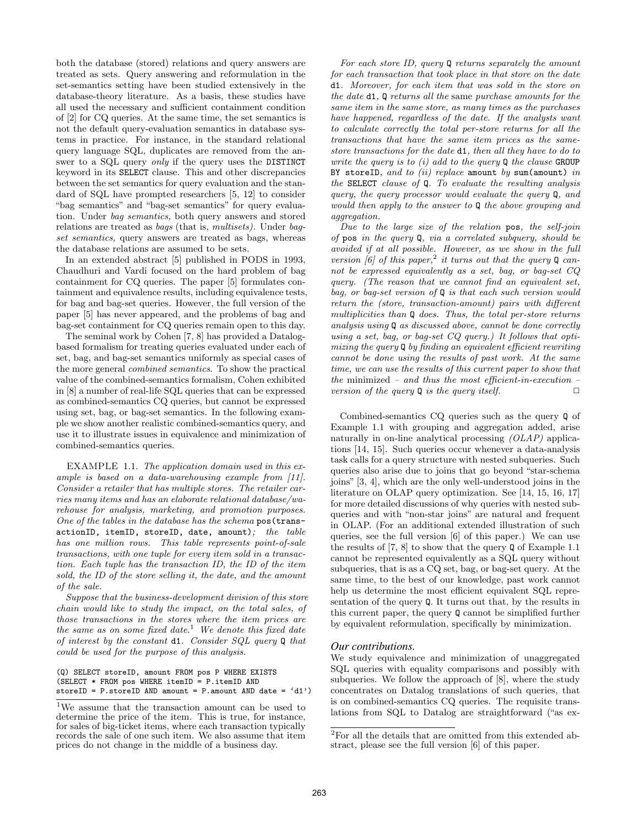both the database (stored) relations and query answers are treated as sets. Query answering and reformulation in the set-semantics setting have been studied extensively in the database-theory literature. As a basis, these studies have all used the necessary and sufficient containment condition of [2] for CQ queries. At the same time, the set semantics is not the default query-evaluation semantics in database systems in practice. For instance, in the standard relational query language SQL, duplicates are removed from the answer to a SQL query only if the query uses the DISTINCT keyword in its SELECT clause. This and other discrepancies between the set semantics for query evaluation and the standard of SQL have prompted researchers [5, 12] to consider "bag semantics" and "bag-set semantics" for query evaluation. Under bag semantics, both query answers and stored relations are treated as bags (that is, multisets). Under bagset semantics, query answers are treated as bags, whereas the database relations are assumed to be sets.

In an extended abstract [5] published in PODS in 1993, Chaudhuri and Vardi focused on the hard problem of bag containment for CQ queries. The paper [5] formulates containment and equivalence results, including equivalence tests, for bag and bag-set queries. However, the full version of the paper [5] has never appeared, and the problems of bag and bag-set containment for CQ queries remain open to this day.

The seminal work by Cohen [7, 8] has provided a Datalogbased formalism for treating queries evaluated under each of set, bag, and bag-set semantics uniformly as special cases of the more general combined semantics. To show the practical value of the combined-semantics formalism, Cohen exhibited in [8] a number of real-life SQL queries that can be expressed as combined-semantics CQ queries, but cannot be expressed using set, bag, or bag-set semantics. In the following example we show another realistic combined-semantics query, and use it to illustrate issues in equivalence and minimization of combined-semantics queries.

EXAMPLE 1.1. The application domain used in this example is based on a data-warehousing example from [11]. Consider a retailer that has multiple stores. The retailer carries many items and has an elaborate relational database/warehouse for analysis, marketing, and promotion purposes. One of the tables in the database has the schema pos(trans $actionID, itemID, storeID, date, amount);$  the table has one million rows. This table represents point-of-sale transactions, with one tuple for every item sold in a transaction. Each tuple has the transaction ID, the ID of the item sold, the ID of the store selling it, the date, and the amount of the sale.

Suppose that the business-development division of this store chain would like to study the impact, on the total sales, of those transactions in the stores where the item prices are the same as on some fixed date.<sup>1</sup> We denote this fixed date of interest by the constant d1. Consider SQL query Q that could be used for the purpose of this analysis.

For each store ID, query Q returns separately the amount for each transaction that took place in that store on the date d1. Moreover, for each item that was sold in the store on the date d1, Q returns all the same purchase amounts for the same item in the same store, as many times as the purchases have happened, regardless of the date. If the analysts want to calculate correctly the total per-store returns for all the transactions that have the same item prices as the samestore transactions for the date d1, then all they have to do to write the query is to  $(i)$  add to the query  $\mathbb Q$  the clause GROUP BY storeID, and to (ii) replace amount by sum(amount) in the SELECT clause of Q. To evaluate the resulting analysis query, the query processor would evaluate the query Q, and would then apply to the answer to Q the above grouping and aggregation.

Due to the large size of the relation pos, the self-join of pos in the query Q, via a correlated subquery, should be avoided if at all possible. However, as we show in the full version [6] of this paper,<sup>2</sup> it turns out that the query  $Q$  cannot be expressed equivalently as a set, bag, or bag-set CQ query. (The reason that we cannot find an equivalent set, bag, or bag-set version of Q is that each such version would return the (store, transaction-amount) pairs with different multiplicities than Q does. Thus, the total per-store returns analysis using Q as discussed above, cannot be done correctly using a set, bag, or bag-set CQ query.) It follows that optimizing the query Q by finding an equivalent efficient rewriting cannot be done using the results of past work. At the same time, we can use the results of this current paper to show that the minimized – and thus the most efficient-in-execution – version of the query  $\mathbf Q$  is the query itself.  $\Box$ 

Combined-semantics CQ queries such as the query Q of Example 1.1 with grouping and aggregation added, arise naturally in on-line analytical processing *(OLAP)* applications [14, 15]. Such queries occur whenever a data-analysis task calls for a query structure with nested subqueries. Such queries also arise due to joins that go beyond "star-schema joins" [3, 4], which are the only well-understood joins in the literature on OLAP query optimization. See [14, 15, 16, 17] for more detailed discussions of why queries with nested subqueries and with "non-star joins" are natural and frequent in OLAP. (For an additional extended illustration of such queries, see the full version [6] of this paper.) We can use the results of [7, 8] to show that the query Q of Example 1.1 cannot be represented equivalently as a SQL query without subqueries, that is as a CQ set, bag, or bag-set query. At the same time, to the best of our knowledge, past work cannot help us determine the most efficient equivalent SQL representation of the query  $\mathbf Q$ . It turns out that, by the results in this current paper, the query Q cannot be simplified further by equivalent reformulation, specifically by minimization.

#### *Our contributions.*

We study equivalence and minimization of unaggregated SQL queries with equality comparisons and possibly with subqueries. We follow the approach of [8], where the study concentrates on Datalog translations of such queries, that is on combined-semantics CQ queries. The requisite translations from SQL to Datalog are straightforward ("as ex-

<sup>(</sup>Q) SELECT storeID, amount FROM pos P WHERE EXISTS (SELECT  $*$  FROM pos WHERE itemID = P.itemID AND storeID =  $P$ .storeID AND amount =  $P$ .amount AND date = 'd1')

<sup>1</sup>We assume that the transaction amount can be used to determine the price of the item. This is true, for instance, for sales of big-ticket items, where each transaction typically records the sale of one such item. We also assume that item prices do not change in the middle of a business day.

<sup>2</sup>For all the details that are omitted from this extended abstract, please see the full version [6] of this paper.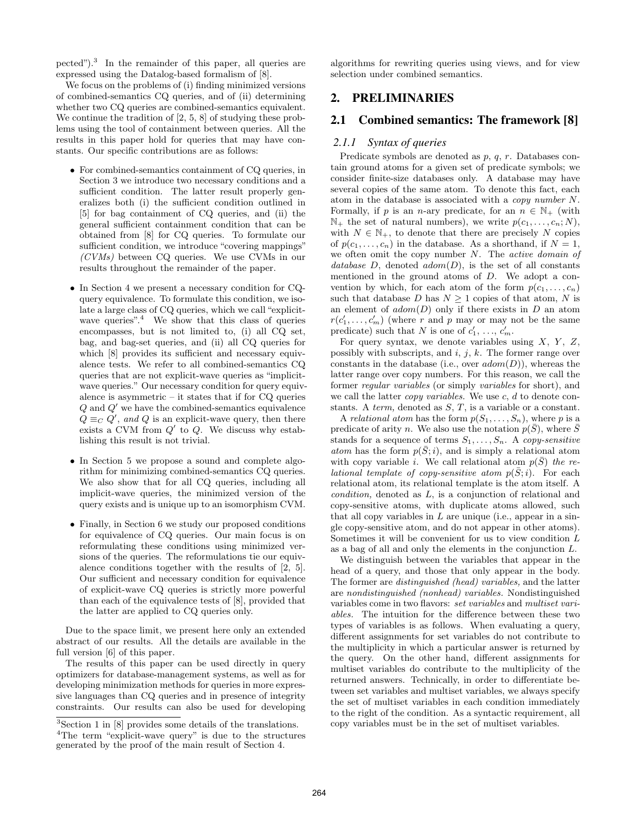pected").<sup>3</sup> In the remainder of this paper, all queries are expressed using the Datalog-based formalism of [8].

We focus on the problems of (i) finding minimized versions of combined-semantics CQ queries, and of (ii) determining whether two CQ queries are combined-semantics equivalent. We continue the tradition of [2, 5, 8] of studying these problems using the tool of containment between queries. All the results in this paper hold for queries that may have constants. Our specific contributions are as follows:

- For combined-semantics containment of CQ queries, in Section 3 we introduce two necessary conditions and a sufficient condition. The latter result properly generalizes both (i) the sufficient condition outlined in [5] for bag containment of CQ queries, and (ii) the general sufficient containment condition that can be obtained from [8] for CQ queries. To formulate our sufficient condition, we introduce "covering mappings" (CVMs) between CQ queries. We use CVMs in our results throughout the remainder of the paper.
- In Section 4 we present a necessary condition for CQquery equivalence. To formulate this condition, we isolate a large class of CQ queries, which we call "explicitwave queries".<sup>4</sup> We show that this class of queries encompasses, but is not limited to, (i) all CQ set, bag, and bag-set queries, and (ii) all CQ queries for which  $[8]$  provides its sufficient and necessary equivalence tests. We refer to all combined-semantics CQ queries that are not explicit-wave queries as "implicitwave queries." Our necessary condition for query equivalence is asymmetric – it states that if for CQ queries  $Q$  and  $Q'$  we have the combined-semantics equivalence  $Q \equiv_C Q'$ , and Q is an explicit-wave query, then there exists a CVM from  $Q'$  to  $Q$ . We discuss why establishing this result is not trivial.
- In Section 5 we propose a sound and complete algorithm for minimizing combined-semantics CQ queries. We also show that for all CQ queries, including all implicit-wave queries, the minimized version of the query exists and is unique up to an isomorphism CVM.
- Finally, in Section 6 we study our proposed conditions for equivalence of CQ queries. Our main focus is on reformulating these conditions using minimized versions of the queries. The reformulations tie our equivalence conditions together with the results of [2, 5]. Our sufficient and necessary condition for equivalence of explicit-wave CQ queries is strictly more powerful than each of the equivalence tests of [8], provided that the latter are applied to CQ queries only.

Due to the space limit, we present here only an extended abstract of our results. All the details are available in the full version [6] of this paper.

The results of this paper can be used directly in query optimizers for database-management systems, as well as for developing minimization methods for queries in more expressive languages than CQ queries and in presence of integrity constraints. Our results can also be used for developing algorithms for rewriting queries using views, and for view selection under combined semantics.

# 2. PRELIMINARIES

# 2.1 Combined semantics: The framework [8]

#### *2.1.1 Syntax of queries*

Predicate symbols are denoted as  $p, q, r$ . Databases contain ground atoms for a given set of predicate symbols; we consider finite-size databases only. A database may have several copies of the same atom. To denote this fact, each atom in the database is associated with a copy number N. Formally, if p is an n-ary predicate, for an  $n \in \mathbb{N}_+$  (with  $\mathbb{N}_+$  the set of natural numbers), we write  $p(c_1, \ldots, c_n; N)$ , with  $N \in \mathbb{N}_+$ , to denote that there are precisely N copies of  $p(c_1, \ldots, c_n)$  in the database. As a shorthand, if  $N = 1$ , we often omit the copy number  $N$ . The *active domain of* database  $D$ , denoted  $adom(D)$ , is the set of all constants mentioned in the ground atoms of D. We adopt a convention by which, for each atom of the form  $p(c_1, \ldots, c_n)$ such that database D has  $N \geq 1$  copies of that atom, N is an element of  $adom(D)$  only if there exists in  $D$  an atom  $r(c'_1, \ldots, c'_m)$  (where r and p may or may not be the same predicate) such that N is one of  $c'_1, \ldots, c'_m$ .

For query syntax, we denote variables using  $X$ ,  $Y$ ,  $Z$ , possibly with subscripts, and  $i, j, k$ . The former range over constants in the database (i.e., over  $adom(D)$ ), whereas the latter range over copy numbers. For this reason, we call the former regular variables (or simply variables for short), and we call the latter *copy variables*. We use  $c, d$  to denote constants. A *term*, denoted as  $S, T$ , is a variable or a constant.

A relational atom has the form  $p(S_1, \ldots, S_n)$ , where p is a predicate of arity n. We also use the notation  $p(\bar{S})$ , where  $\bar{S}$ stands for a sequence of terms  $S_1, \ldots, S_n$ . A copy-sensitive atom has the form  $p(S; i)$ , and is simply a relational atom with copy variable i. We call relational atom  $p(S)$  the relational template of copy-sensitive atom  $p(S; i)$ . For each relational atom, its relational template is the atom itself. A condition, denoted as L, is a conjunction of relational and copy-sensitive atoms, with duplicate atoms allowed, such that all copy variables in  $L$  are unique (i.e., appear in a single copy-sensitive atom, and do not appear in other atoms). Sometimes it will be convenient for us to view condition L as a bag of all and only the elements in the conjunction L.

We distinguish between the variables that appear in the head of a query, and those that only appear in the body. The former are distinguished (head) variables, and the latter are nondistinguished (nonhead) variables. Nondistinguished variables come in two flavors: set variables and multiset variables. The intuition for the difference between these two types of variables is as follows. When evaluating a query, different assignments for set variables do not contribute to the multiplicity in which a particular answer is returned by the query. On the other hand, different assignments for multiset variables do contribute to the multiplicity of the returned answers. Technically, in order to differentiate between set variables and multiset variables, we always specify the set of multiset variables in each condition immediately to the right of the condition. As a syntactic requirement, all copy variables must be in the set of multiset variables.

<sup>3</sup>Section 1 in [8] provides some details of the translations. <sup>4</sup>The term "explicit-wave query" is due to the structures generated by the proof of the main result of Section 4.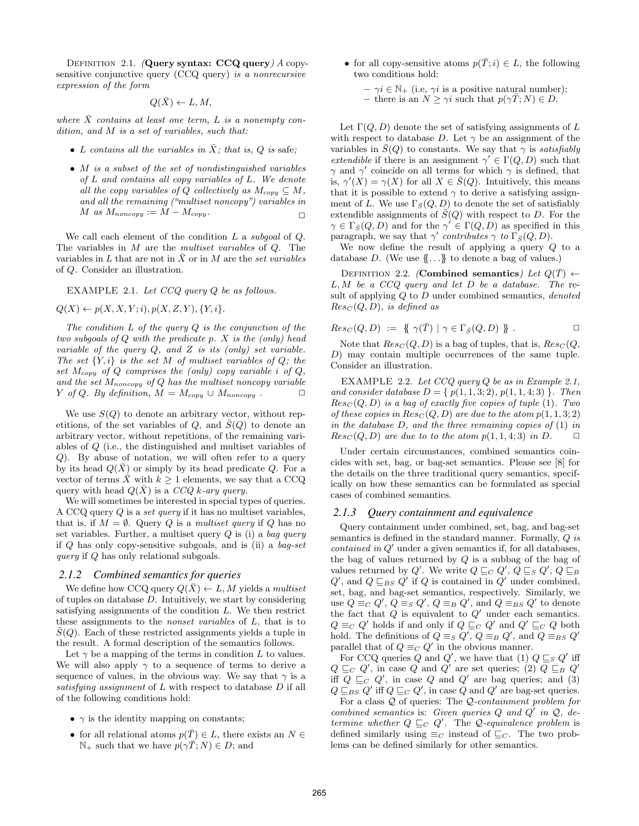DEFINITION 2.1. (Query syntax:  $CCQ$  query)  $A$  copysensitive conjunctive query (CCQ query) is a nonrecursive expression of the form

$$
Q(\bar{X}) \leftarrow L, M,
$$

where  $\bar{X}$  contains at least one term, L is a nonempty condition, and M is a set of variables, such that:

- L contains all the variables in  $\bar{X}$ ; that is, Q is safe;
- M is a subset of the set of nondistinguished variables of L and contains all copy variables of L. We denote all the copy variables of Q collectively as  $M_{copy} \subseteq M$ , and all the remaining ("multiset noncopy") variables in  $M$  as  $M_{noncopy} := M - M_{copy}$ .

We call each element of the condition  $L$  a subgoal of  $Q$ . The variables in M are the multiset variables of Q. The variables in L that are not in  $\overline{X}$  or in M are the set variables of Q. Consider an illustration.

EXAMPLE 2.1. Let CCQ query Q be as follows.

$$
Q(X) \leftarrow p(X, X, Y; i), p(X, Z, Y), \{Y, i\}.
$$

The condition  $L$  of the query  $Q$  is the conjunction of the two subgoals of  $Q$  with the predicate  $p$ .  $X$  is the (only) head variable of the query  $Q$ , and  $Z$  is its (only) set variable. The set  $\{Y, i\}$  is the set M of multiset variables of Q; the set  $M_{copy}$  of  $Q$  comprises the (only) copy variable i of  $Q$ , and the set  $M_{noncopy}$  of Q has the multiset noncopy variable Y of Q. By definition,  $M = M_{copy} \cup M_{noncopy}$ .  $\Box$ 

We use  $S(Q)$  to denote an arbitrary vector, without repetitions, of the set variables of Q, and  $\overline{S}(Q)$  to denote an arbitrary vector, without repetitions, of the remaining variables of Q (i.e., the distinguished and multiset variables of Q). By abuse of notation, we will often refer to a query by its head  $Q(\bar{X})$  or simply by its head predicate Q. For a vector of terms  $\bar{X}$  with  $k \geq 1$  elements, we say that a CCQ query with head  $Q(\bar{X})$  is a CCQ k-ary query.

We will sometimes be interested in special types of queries. A CCQ query Q is a set query if it has no multiset variables, that is, if  $M = \emptyset$ . Query Q is a multiset query if Q has no set variables. Further, a multiset query  $Q$  is (i) a bag query if Q has only copy-sensitive subgoals, and is (ii) a bag-set query if Q has only relational subgoals.

#### *2.1.2 Combined semantics for queries*

We define how CCQ query  $Q(X) \leftarrow L$ , M yields a multiset of tuples on database  $D$ . Intuitively, we start by considering satisfying assignments of the condition L. We then restrict these assignments to the nonset variables of L, that is to  $S(Q)$ . Each of these restricted assignments yields a tuple in the result. A formal description of the semantics follows.

Let  $\gamma$  be a mapping of the terms in condition L to values. We will also apply  $\gamma$  to a sequence of terms to derive a sequence of values, in the obvious way. We say that  $\gamma$  is a satisfying assignment of  $L$  with respect to database  $D$  if all of the following conditions hold:

- $\gamma$  is the identity mapping on constants;
- for all relational atoms  $p(T) \in L$ , there exists an  $N \in$  $\mathbb{N}_+$  such that we have  $p(\gamma \overline{T}; N) \in D$ ; and
- for all copy-sensitive atoms  $p(\bar{T};i) \in L$ , the following two conditions hold:
	- $-\gamma i \in \mathbb{N}_+$  (i.e,  $\gamma i$  is a positive natural number); – there is an  $N \geq \gamma i$  such that  $p(\gamma \bar{T}; N) \in D$ .

Let  $\Gamma(Q, D)$  denote the set of satisfying assignments of L with respect to database D. Let  $\gamma$  be an assignment of the variables in  $\bar{S}(Q)$  to constants. We say that  $\gamma$  is satisfiably extendible if there is an assignment  $\gamma' \in \Gamma(Q, D)$  such that  $\gamma$  and  $\gamma'$  coincide on all terms for which  $\gamma$  is defined, that is,  $\gamma'(X) = \gamma(X)$  for all  $X \in \overline{S}(Q)$ . Intuitively, this means that it is possible to extend  $\gamma$  to derive a satisfying assignment of L. We use  $\Gamma_{\bar{S}}(Q, D)$  to denote the set of satisfiably extendible assignments of  $\bar{S}(Q)$  with respect to D. For the  $\gamma \in \Gamma_{\bar{S}}(Q, D)$  and for the  $\gamma' \in \Gamma(Q, D)$  as specified in this paragraph, we say that  $\gamma'$  contributes  $\gamma$  to  $\Gamma_{\bar{S}}(Q, D)$ .

We now define the result of applying a query  $Q$  to a database D. (We use  ${...}$  to denote a bag of values.)

DEFINITION 2.2. (Combined semantics) Let  $Q(\bar{T}) \leftarrow$  $L, M$  be a  $CCQ$  query and let  $D$  be a database. The result of applying  $Q$  to  $D$  under combined semantics, *denoted*  $Res_C(Q, D)$ , is defined as

$$
Res_C(Q, D) := \{ \{ \gamma(\overline{T}) \mid \gamma \in \Gamma_{\overline{S}}(Q, D) \} \} . \square
$$

Note that  $Res_C(Q, D)$  is a bag of tuples, that is,  $Res_C(Q, D)$ D) may contain multiple occurrences of the same tuple. Consider an illustration.

EXAMPLE 2.2. Let  $CCQ$  query  $Q$  be as in Example 2.1, and consider database  $D = \{ p(1, 1, 3; 2), p(1, 1, 4; 3) \}$ . Then  $Res_C(Q, D)$  is a bag of exactly five copies of tuple (1). Two of these copies in  $Res_C(Q, D)$  are due to the atom  $p(1, 1, 3; 2)$ in the database  $D$ , and the three remaining copies of  $(1)$  in  $Res_C(Q, D)$  are due to to the atom  $p(1, 1, 4; 3)$  in D.  $\Box$ 

Under certain circumstances, combined semantics coincides with set, bag, or bag-set semantics. Please see [8] for the details on the three traditional query semantics, specifically on how these semantics can be formulated as special cases of combined semantics.

#### *2.1.3 Query containment and equivalence*

Query containment under combined, set, bag, and bag-set semantics is defined in the standard manner. Formally, Q is  $contained in Q'$  under a given semantics if, for all databases, the bag of values returned by  $Q$  is a subbag of the bag of values returned by Q'. We write  $Q \sqsubseteq_C Q'$ ,  $Q \sqsubseteq_S Q'$ ,  $Q \sqsubseteq_B Q'$  $Q'$ , and  $Q \sqsubseteq_{BS} Q'$  if  $Q$  is contained in  $Q'$  under combined, set, bag, and bag-set semantics, respectively. Similarly, we use  $Q \equiv_C Q'$ ,  $Q \equiv_S Q'$ ,  $Q \equiv_B Q'$ , and  $Q \equiv_{BS} Q'$  to denote the fact that  $Q$  is equivalent to  $Q'$  under each semantics.  $Q \equiv_C Q'$  holds if and only if  $Q \sqsubseteq_C Q'$  and  $Q' \sqsubseteq_C Q$  both hold. The definitions of  $Q \equiv_S Q'$ ,  $Q \equiv_B Q'$ , and  $Q \equiv_{BS} Q'$ parallel that of  $Q \equiv_C Q'$  in the obvious manner.

For CCQ queries Q and Q', we have that (1)  $Q \sqsubseteq_S Q'$  iff  $Q \sqsubseteq_C Q'$ , in case Q and Q' are set queries; (2)  $Q \sqsubseteq_B Q'$ iff  $Q \sqsubseteq_C Q'$ , in case Q and Q' are bag queries; and (3)  $Q \sqsubseteq_{BS} Q'$  iff  $Q \sqsubseteq_C Q'$ , in case Q and  $Q'$  are bag-set queries.

For a class Q of queries: The Q-containment problem for combined semantics is: Given queries  $Q$  and  $Q'$  in  $Q$ , determine whether  $Q \sqsubseteq_C Q'$ . The Q-equivalence problem is defined similarly using  $\equiv_C$  instead of  $\sqsubseteq_C$ . The two problems can be defined similarly for other semantics.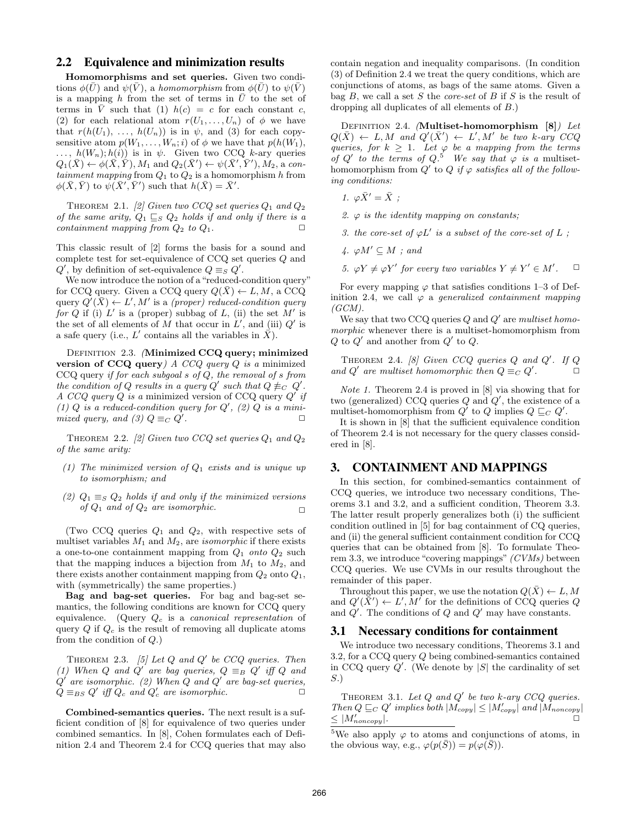# 2.2 Equivalence and minimization results

Homomorphisms and set queries. Given two conditions  $\phi(\bar{U})$  and  $\psi(\bar{V})$ , a homomorphism from  $\phi(\bar{U})$  to  $\psi(\bar{V})$ is a mapping h from the set of terms in  $\overline{U}$  to the set of terms in  $\overline{V}$  such that (1)  $h(c) = c$  for each constant c, (2) for each relational atom  $r(U_1, \ldots, U_n)$  of  $\phi$  we have that  $r(h(U_1), \ldots, h(U_n))$  is in  $\psi$ , and (3) for each copysensitive atom  $p(W_1, \ldots, W_n; i)$  of  $\phi$  we have that  $p(h(W_1),$ ...,  $h(W_n); h(i)$  is in  $\psi$ . Given two CCQ k-ary queries  $Q_1(\bar{X}) \leftarrow \phi(\bar{X}, \bar{Y}), M_1 \text{ and } Q_2(\bar{X}') \leftarrow \psi(\bar{X}', \bar{Y}'), M_2, \text{a con-}$ tainment mapping from  $Q_1$  to  $Q_2$  is a homomorphism h from  $\phi(\bar{X}, \bar{Y})$  to  $\psi(\bar{X}', \bar{Y}')$  such that  $h(\bar{X}) = \bar{X}'$ .

THEOREM 2.1. [2] Given two CCQ set queries  $Q_1$  and  $Q_2$ of the same arity,  $Q_1 \sqsubseteq_S Q_2$  holds if and only if there is a containment mapping from  $Q_2$  to  $Q_1$ .

This classic result of [2] forms the basis for a sound and complete test for set-equivalence of  $CCQ$  set queries  $Q$  and  $Q'$ , by definition of set-equivalence  $Q \equiv_S Q'$ .

We now introduce the notion of a"reduced-condition query" for CCQ query. Given a CCQ query  $Q(\bar{X}) \leftarrow L, M$ , a CCQ query  $Q'(\bar{X}) \leftarrow L'$ , M' is a (proper) reduced-condition query for Q if (i)  $L'$  is a (proper) subbag of L, (ii) the set  $M'$  is the set of all elements of  $\overline{M}$  that occur in  $\overline{L}'$ , and (iii)  $Q'$  is a safe query (i.e., L' contains all the variables in  $\overrightarrow{X}$ ).

DEFINITION 2.3. (Minimized CCQ query; minimized version of CCQ query)  $A$  CCQ query  $Q$  is a minimized CCQ query if for each subgoal s of Q, the removal of s from the condition of Q results in a query Q' such that  $Q \not\equiv_C Q'$ . A CCQ query  $Q$  is a minimized version of CCQ query  $Q'$  if (1)  $Q$  is a reduced-condition query for  $Q'$ , (2)  $Q$  is a minimized query, and (3)  $Q \equiv_C Q'$ .  $\Box$ 

THEOREM 2.2. [2] Given two CCQ set queries  $Q_1$  and  $Q_2$ of the same arity:

- (1) The minimized version of  $Q_1$  exists and is unique up to isomorphism; and
- (2)  $Q_1 \equiv_S Q_2$  holds if and only if the minimized versions of  $Q_1$  and of  $Q_2$  are isomorphic.

(Two CCQ queries  $Q_1$  and  $Q_2$ , with respective sets of multiset variables  $M_1$  and  $M_2$ , are *isomorphic* if there exists a one-to-one containment mapping from  $Q_1$  onto  $Q_2$  such that the mapping induces a bijection from  $M_1$  to  $M_2$ , and there exists another containment mapping from  $Q_2$  onto  $Q_1$ , with (symmetrically) the same properties.)

Bag and bag-set queries. For bag and bag-set semantics, the following conditions are known for CCQ query equivalence. (Query  $Q_c$  is a *canonical representation* of query  $Q$  if  $Q_c$  is the result of removing all duplicate atoms from the condition of  $Q$ .)

THEOREM 2.3. [5] Let  $Q$  and  $Q'$  be CCQ queries. Then (1) When Q and Q' are bag queries,  $Q \equiv_B Q'$  iff Q and  $Q'$  are isomorphic. (2) When  $Q$  and  $Q'$  are bag-set queries,  $Q \equiv_{BS} Q'$  iff  $Q_c$  and  $Q'_c$  are isomorphic.  $\Box$ 

Combined-semantics queries. The next result is a sufficient condition of [8] for equivalence of two queries under combined semantics. In [8], Cohen formulates each of Definition 2.4 and Theorem 2.4 for CCQ queries that may also contain negation and inequality comparisons. (In condition (3) of Definition 2.4 we treat the query conditions, which are conjunctions of atoms, as bags of the same atoms. Given a bag  $B$ , we call a set  $S$  the *core-set* of  $B$  if  $S$  is the result of dropping all duplicates of all elements of B.)

DEFINITION 2.4. (Multiset-homomorphism [8]) Let  $Q(\bar{X}) \leftarrow L, M \text{ and } Q'(\bar{X}') \leftarrow L', M' \text{ be two } k\text{-ary } CCQ$ queries, for  $k \geq 1$ . Let  $\varphi$  be a mapping from the terms of Q' to the terms of  $Q$ .<sup>5</sup> We say that  $\varphi$  is a multisethomomorphism from  $Q'$  to  $Q$  if  $\varphi$  satisfies all of the following conditions:

1.  $\varphi \bar{X}' = \bar{X}$  ;

2.  $\varphi$  is the identity mapping on constants;

- 3. the core-set of  $\varphi L'$  is a subset of the core-set of  $L$ ;
- $4. \varphi M' \subseteq M$ ; and
- 5.  $\varphi Y \neq \varphi Y'$  for every two variables  $Y \neq Y' \in M'$  $\Box$

For every mapping  $\varphi$  that satisfies conditions 1–3 of Definition 2.4, we call  $\varphi$  a generalized containment mapping  $(GCM)$ .

We say that two CCQ queries  $Q$  and  $Q'$  are multiset homomorphic whenever there is a multiset-homomorphism from  $Q$  to  $Q'$  and another from  $Q'$  to  $Q$ .

THEOREM 2.4. [8] Given CCQ queries  $Q$  and  $Q'$ . If  $Q$ and  $Q'$  are multiset homomorphic then  $Q \equiv_C Q'$  $\mathbf{a}$ 

Note 1. Theorem 2.4 is proved in [8] via showing that for two (generalized) CCQ queries  $Q$  and  $Q'$ , the existence of a multiset-homomorphism from  $Q'$  to  $Q$  implies  $Q \sqsubseteq_C Q'$ .

It is shown in [8] that the sufficient equivalence condition of Theorem 2.4 is not necessary for the query classes considered in [8].

### 3. CONTAINMENT AND MAPPINGS

In this section, for combined-semantics containment of CCQ queries, we introduce two necessary conditions, Theorems 3.1 and 3.2, and a sufficient condition, Theorem 3.3. The latter result properly generalizes both (i) the sufficient condition outlined in [5] for bag containment of CQ queries, and (ii) the general sufficient containment condition for CCQ queries that can be obtained from [8]. To formulate Theorem 3.3, we introduce "covering mappings" (CVMs) between CCQ queries. We use CVMs in our results throughout the remainder of this paper.

Throughout this paper, we use the notation  $Q(X) \leftarrow L, M$ and  $Q'(\bar{X}') \leftarrow L', M'$  for the definitions of CCQ queries Q and  $Q'$ . The conditions of  $Q$  and  $Q'$  may have constants.

### 3.1 Necessary conditions for containment

We introduce two necessary conditions, Theorems 3.1 and 3.2, for a CCQ query Q being combined-semantics contained in CCQ query  $Q'$ . (We denote by  $|S|$  the cardinality of set S.)

THEOREM 3.1. Let  $Q$  and  $Q'$  be two k-ary CCQ queries. Then  $Q \sqsubseteq_C Q'$  implies both  $|M_{copy}| \leq |M'_{copy}|$  and  $|M_{noncopy}|$  $\leq$   $|M'_{noncopy}|$ .

<sup>&</sup>lt;sup>5</sup>We also apply  $\varphi$  to atoms and conjunctions of atoms, in the obvious way, e.g.,  $\varphi(p(\bar{S})) = p(\varphi(\bar{S})).$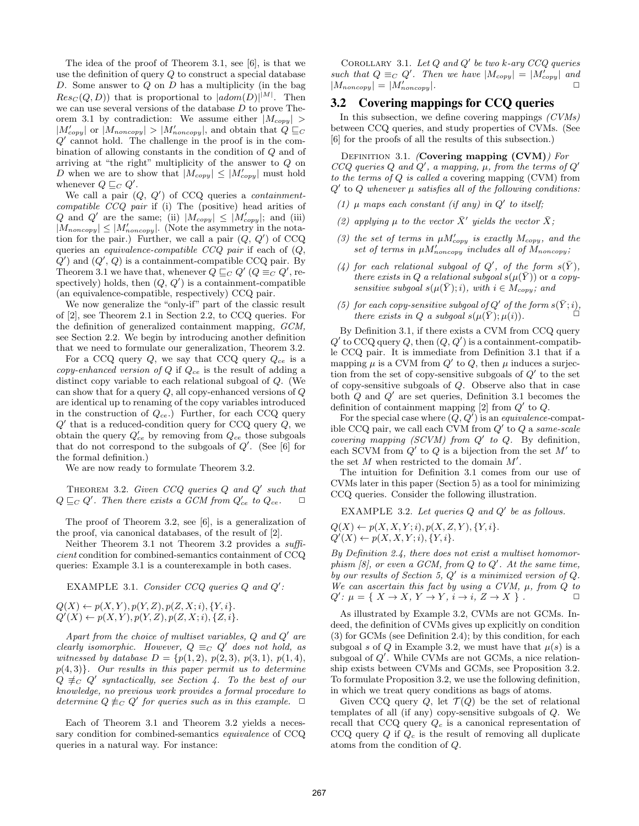The idea of the proof of Theorem 3.1, see [6], is that we use the definition of query Q to construct a special database D. Some answer to  $Q$  on  $D$  has a multiplicity (in the bag  $Res_C(Q, D)$  that is proportional to  $|adom(D)|^{|M|}$ . Then we can use several versions of the database D to prove Theorem 3.1 by contradiction: We assume either  $|M_{copy}| >$  $|M'_{copy}|$  or  $|M_{noncopy}| > |M'_{noncopy}|$ , and obtain that  $Q \sqsubseteq_C$  $Q'$  cannot hold. The challenge in the proof is in the combination of allowing constants in the condition of Q and of arriving at "the right" multiplicity of the answer to Q on D when we are to show that  $|M_{copy}| \leq |M'_{copy}|$  must hold whenever  $Q \sqsubseteq_C Q'$ .

We call a pair  $(Q, Q')$  of CCQ queries a *containment*compatible CCQ pair if (i) The (positive) head arities of Q and Q' are the same; (ii)  $|M_{copy}| \leq |M'_{copy}|$ ; and (iii)  $|M_{noncopy}| \leq |M'_{noncopy}|$ . (Note the asymmetry in the notation for the pair.) Further, we call a pair  $(Q, Q')$  of CCQ queries an *equivalence-compatible CCQ pair* if each of  $(Q,$  $Q'$  and  $(Q', Q)$  is a containment-compatible CCQ pair. By Theorem 3.1 we have that, whenever  $Q \sqsubseteq_C Q'$   $(Q \equiv_C Q', \text{re-}$ spectively) holds, then  $(Q, Q')$  is a containment-compatible (an equivalence-compatible, respectively) CCQ pair.

We now generalize the "only-if" part of the classic result of [2], see Theorem 2.1 in Section 2.2, to CCQ queries. For the definition of generalized containment mapping, GCM, see Section 2.2. We begin by introducing another definition that we need to formulate our generalization, Theorem 3.2.

For a CCQ query  $Q$ , we say that CCQ query  $Q_{ce}$  is a copy-enhanced version of  $Q$  if  $Q_{ce}$  is the result of adding a distinct copy variable to each relational subgoal of Q. (We can show that for a query  $Q$ , all copy-enhanced versions of  $Q$ are identical up to renaming of the copy variables introduced in the construction of  $Q_{ce}$ .) Further, for each CCQ query  $Q'$  that is a reduced-condition query for CCQ query  $Q$ , we obtain the query  $Q'_{ce}$  by removing from  $Q_{ce}$  those subgoals that do not correspond to the subgoals of  $Q'$ . (See [6] for the formal definition.)

We are now ready to formulate Theorem 3.2.

THEOREM 3.2. Given  $CCQ$  queries  $Q$  and  $Q'$  such that  $Q \sqsubseteq_C Q'$ . Then there exists a GCM from  $Q'_{ce}$  to  $Q_{ce}$ .  $\Box$ 

The proof of Theorem 3.2, see [6], is a generalization of the proof, via canonical databases, of the result of [2].

Neither Theorem 3.1 not Theorem 3.2 provides a sufficient condition for combined-semantics containment of CCQ queries: Example 3.1 is a counterexample in both cases.

EXAMPLE 3.1. Consider CCQ queries  $Q$  and  $Q'$ :

 $Q(X) \leftarrow p(X, Y), p(Y, Z), p(Z, X; i), \{Y, i\}.$  $Q'(X) \leftarrow p(X, Y), p(Y, Z), p(Z, X; i), \{Z, i\}.$ 

Apart from the choice of multiset variables,  $Q$  and  $Q'$  are clearly isomorphic. However,  $Q \equiv_C Q'$  does not hold, as witnessed by database  $D = \{p(1, 2), p(2, 3), p(3, 1), p(1, 4),\}$  $p(4, 3)$ . Our results in this paper permit us to determine  $Q \not\equiv_C Q'$  syntactically, see Section 4. To the best of our knowledge, no previous work provides a formal procedure to determine  $Q \not\equiv_C Q'$  for queries such as in this example.  $□$ 

Each of Theorem 3.1 and Theorem 3.2 yields a necessary condition for combined-semantics *equivalence* of CCQ queries in a natural way. For instance:

COROLLARY 3.1. Let  $Q$  and  $Q'$  be two k-ary CCQ queries such that  $Q \equiv_C Q'$ . Then we have  $|M_{copy}| = |M'_{copy}|$  and  $|M_{noncopy}| = |M'_{noncopy}|.$ 

# 3.2 Covering mappings for CCQ queries

In this subsection, we define covering mappings  $(CVMs)$ between CCQ queries, and study properties of CVMs. (See [6] for the proofs of all the results of this subsection.)

DEFINITION 3.1. (Covering mapping  $(CVM)$ ) For CCQ queries Q and  $Q'$ , a mapping,  $\mu$ , from the terms of  $Q'$ to the terms of  $Q$  is called a covering mapping (CVM) from  $Q'$  to  $Q$  whenever  $\mu$  satisfies all of the following conditions:

- (1)  $\mu$  maps each constant (if any) in  $Q'$  to itself;
- (2) applying  $\mu$  to the vector  $\bar{X}'$  yields the vector  $\bar{X}$ ;
- (3) the set of terms in  $\mu M_{copy}'$  is exactly  $M_{copy}$ , and the set of terms in  $\mu M'_{noncopy}$  includes all of  $M_{noncopy}$ ;
- (4) for each relational subgoal of  $Q'$ , of the form  $s(\bar{Y})$ , there exists in Q a relational subgoal  $s(\mu(\bar{Y}))$  or a copysensitive subgoal  $s(\mu(\bar{Y});i)$ , with  $i \in M_{copy}$ ; and
- (5) for each copy-sensitive subgoal of  $Q'$  of the form  $s(\bar{Y};i)$ , there exists in Q a subgoal  $s(\mu(\bar{Y}); \mu(i))$ .

By Definition 3.1, if there exists a CVM from CCQ query  $Q'$  to CCQ query Q, then  $(Q, Q')$  is a containment-compatible CCQ pair. It is immediate from Definition 3.1 that if a mapping  $\mu$  is a CVM from  $Q'$  to  $Q$ , then  $\mu$  induces a surjection from the set of copy-sensitive subgoals of  $Q'$  to the set of copy-sensitive subgoals of Q. Observe also that in case both  $Q$  and  $Q'$  are set queries, Definition 3.1 becomes the definition of containment mapping  $[2]$  from  $Q'$  to  $Q$ .

For the special case where  $(Q, Q')$  is an equivalence-compatible CCQ pair, we call each CVM from  $Q'$  to Q a same-scale covering mapping (SCVM) from  $Q'$  to  $Q$ . By definition, each SCVM from  $Q'$  to  $Q$  is a bijection from the set  $M'$  to the set  $M$  when restricted to the domain  $M'$ .

The intuition for Definition 3.1 comes from our use of CVMs later in this paper (Section 5) as a tool for minimizing CCQ queries. Consider the following illustration.

EXAMPLE 3.2. Let queries  $Q$  and  $Q'$  be as follows.

 $Q(X) \leftarrow p(X, X, Y; i), p(X, Z, Y), \{Y, i\}.$  $Q'(X) \leftarrow p(X, X, Y; i), \{Y, i\}.$ 

By Definition 2.4, there does not exist a multiset homomorphism  $\lbrack 8 \rbrack$ , or even a GCM, from Q to Q'. At the same time, by our results of Section 5,  $Q'$  is a minimized version of  $Q$ . We can ascertain this fact by using a CVM,  $\mu$ , from  $Q$  to  $Q' : \mu = \{ X \to X, Y \to Y, i \to i, Z \to X \}$ .

As illustrated by Example 3.2, CVMs are not GCMs. Indeed, the definition of CVMs gives up explicitly on condition (3) for GCMs (see Definition 2.4); by this condition, for each subgoal s of Q in Example 3.2, we must have that  $\mu(s)$  is a subgoal of Q'. While CVMs are not GCMs, a nice relationship exists between CVMs and GCMs, see Proposition 3.2. To formulate Proposition 3.2, we use the following definition, in which we treat query conditions as bags of atoms.

Given CCQ query Q, let  $\mathcal{T}(Q)$  be the set of relational templates of all (if any) copy-sensitive subgoals of Q. We recall that CCQ query  $Q_c$  is a canonical representation of CCQ query  $Q$  if  $Q_c$  is the result of removing all duplicate atoms from the condition of Q.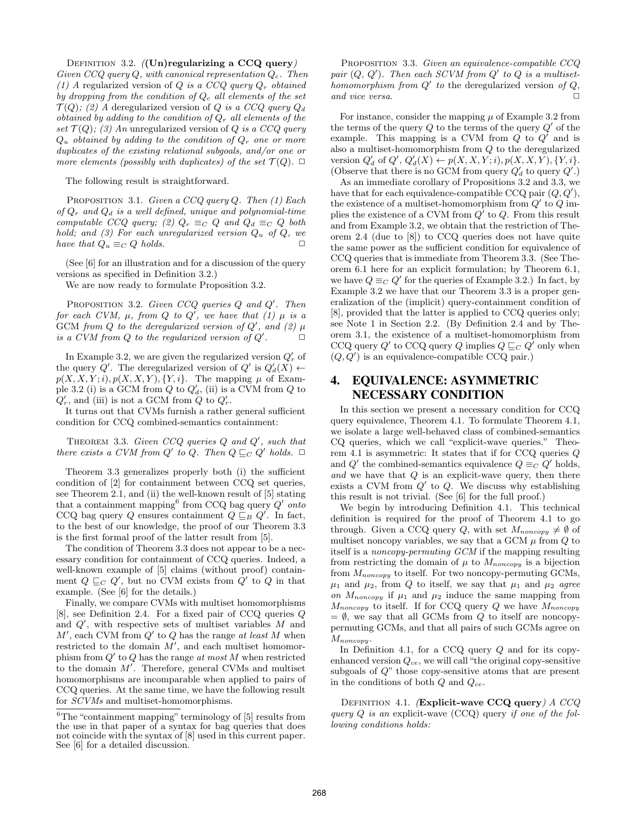DEFINITION 3.2.  $(Un)$ regularizing a CCQ query) Given CCQ query Q, with canonical representation  $Q_c$ . Then (1) A regularized version of Q is a CCQ query  $Q_r$  obtained by dropping from the condition of  $Q_c$  all elements of the set  $\mathcal{T}(Q)$ ; (2) A deregularized version of Q is a CCQ query  $Q_d$ obtained by adding to the condition of  $Q_r$  all elements of the set  $\mathcal{T}(Q)$ ; (3) An unregularized version of Q is a CCQ query  $Q_u$  obtained by adding to the condition of  $Q_r$  one or more duplicates of the existing relational subgoals, and/or one or more elements (possibly with duplicates) of the set  $\mathcal{T}(Q)$ .  $\Box$ 

The following result is straightforward.

PROPOSITION 3.1. Given a  $CCQ$  query  $Q$ . Then (1) Each of  $Q_r$  and  $Q_d$  is a well defined, unique and polynomial-time computable CCQ query; (2)  $Q_r \equiv_C Q$  and  $Q_d \equiv_C Q$  both hold; and (3) For each unregularized version  $Q_u$  of  $Q$ , we have that  $Q_u \equiv_C Q$  holds.  $\Box$ 

(See [6] for an illustration and for a discussion of the query versions as specified in Definition 3.2.)

We are now ready to formulate Proposition 3.2.

PROPOSITION 3.2. Given CCQ queries  $Q$  and  $Q'$ . Then for each CVM,  $\mu$ , from Q to Q', we have that (1)  $\mu$  is a GCM from Q to the deregularized version of  $Q'$ , and (2)  $\mu$ is a CVM from  $Q$  to the regularized version of  $Q'$  $\Box$ 

In Example 3.2, we are given the regularized version  $Q'_r$  of the query  $Q'$ . The deregularized version of  $Q'$  is  $Q'_d(X) \leftarrow$  $p(X, X, Y; i), p(X, X, Y), \{Y, i\}.$  The mapping  $\mu$  of Example 3.2 (i) is a GCM from  $Q$  to  $Q'_d$ , (ii) is a CVM from  $Q$  to  $Q'_r$ , and (iii) is not a GCM from Q to  $Q'_r$ .

It turns out that CVMs furnish a rather general sufficient condition for CCQ combined-semantics containment:

THEOREM 3.3. Given  $CCQ$  queries  $Q$  and  $Q'$ , such that there exists a CVM from  $Q'$  to Q. Then  $Q \sqsubseteq_C Q'$  holds.  $\Box$ 

Theorem 3.3 generalizes properly both (i) the sufficient condition of [2] for containment between CCQ set queries, see Theorem 2.1, and (ii) the well-known result of [5] stating that a containment mapping from CCQ bag query  $Q'$  onto CCQ bag query Q ensures containment  $Q \sqsubseteq_B Q'$ . In fact, to the best of our knowledge, the proof of our Theorem 3.3 is the first formal proof of the latter result from [5].

The condition of Theorem 3.3 does not appear to be a necessary condition for containment of CCQ queries. Indeed, a well-known example of [5] claims (without proof) containment  $Q \sqsubseteq_C Q'$ , but no CVM exists from  $Q'$  to  $Q$  in that example. (See [6] for the details.)

Finally, we compare CVMs with multiset homomorphisms [8], see Definition 2.4. For a fixed pair of CCQ queries Q and  $Q'$ , with respective sets of multiset variables  $M$  and  $M'$ , each CVM from  $Q'$  to  $Q$  has the range at least M when restricted to the domain  $M'$ , and each multiset homomorphism from  $Q'$  to  $Q$  has the range at most M when restricted to the domain  $M'$ . Therefore, general CVMs and multiset homomorphisms are incomparable when applied to pairs of CCQ queries. At the same time, we have the following result for SCVMs and multiset-homomorphisms.

PROPOSITION 3.3. Given an equivalence-compatible CCQ pair  $(Q, Q')$ . Then each SCVM from  $Q'$  to  $Q$  is a multisethomomorphism from  $Q'$  to the deregularized version of  $Q$ , and vice versa.  $\Box$ 

For instance, consider the mapping  $\mu$  of Example 3.2 from the terms of the query  $Q$  to the terms of the query  $Q'$  of the example. This mapping is a CVM from  $Q$  to  $Q'$  and is also a multiset-homomorphism from  $Q$  to the deregularized version  $Q'_d$  of  $Q', Q'_d(X) \leftarrow p(X, X, Y; i), p(X, X, Y), \{Y, i\}.$ (Observe that there is no GCM from query  $Q'_d$  to query  $Q'$ .)

As an immediate corollary of Propositions 3.2 and 3.3, we have that for each equivalence-compatible CCQ pair  $(Q, Q'),$ the existence of a multiset-homomorphism from  $Q'$  to  $Q$  implies the existence of a CVM from  $Q'$  to  $Q$ . From this result and from Example 3.2, we obtain that the restriction of Theorem 2.4 (due to [8]) to CCQ queries does not have quite the same power as the sufficient condition for equivalence of CCQ queries that is immediate from Theorem 3.3. (See Theorem 6.1 here for an explicit formulation; by Theorem 6.1, we have  $Q \equiv_C Q'$  for the queries of Example 3.2.) In fact, by Example 3.2 we have that our Theorem 3.3 is a proper generalization of the (implicit) query-containment condition of [8], provided that the latter is applied to CCQ queries only; see Note 1 in Section 2.2. (By Definition 2.4 and by Theorem 3.1, the existence of a multiset-homomorphism from CCQ query  $Q'$  to CCQ query Q implies  $Q \sqsubseteq_C Q'$  only when  $(Q, Q')$  is an equivalence-compatible CCQ pair.)

# 4. EQUIVALENCE: ASYMMETRIC NECESSARY CONDITION

In this section we present a necessary condition for CCQ query equivalence, Theorem 4.1. To formulate Theorem 4.1, we isolate a large well-behaved class of combined-semantics CQ queries, which we call "explicit-wave queries." Theorem 4.1 is asymmetric: It states that if for CCQ queries Q and Q' the combined-semantics equivalence  $Q \equiv_C Q'$  holds, and we have that  $Q$  is an explicit-wave query, then there exists a CVM from  $Q'$  to  $Q$ . We discuss why establishing this result is not trivial. (See [6] for the full proof.)

We begin by introducing Definition 4.1. This technical definition is required for the proof of Theorem 4.1 to go through. Given a CCQ query Q, with set  $M_{noncopy} \neq \emptyset$  of multiset noncopy variables, we say that a GCM  $\mu$  from  $Q$  to itself is a noncopy-permuting GCM if the mapping resulting from restricting the domain of  $\mu$  to  $M_{noncopy}$  is a bijection from  $M_{noncopy}$  to itself. For two noncopy-permuting GCMs,  $\mu_1$  and  $\mu_2$ , from Q to itself, we say that  $\mu_1$  and  $\mu_2$  agree on  $M_{noncopy}$  if  $\mu_1$  and  $\mu_2$  induce the same mapping from  $M_{noncopy}$  to itself. If for CCQ query Q we have  $M_{noncopy}$  $= \emptyset$ , we say that all GCMs from Q to itself are noncopypermuting GCMs, and that all pairs of such GCMs agree on  $M_{noncopy}$ .

In Definition 4.1, for a CCQ query  $Q$  and for its copyenhanced version  $Q_{ce}$ , we will call "the original copy-sensitive" subgoals of Q" those copy-sensitive atoms that are present in the conditions of both  $Q$  and  $Q_{ce}$ .

DEFINITION 4.1. (Explicit-wave CCQ query)  $A$  CCQ query  $Q$  is an explicit-wave (CCQ) query if one of the following conditions holds:

 $^6\mathrm{The}$  "containment mapping" terminology of [5] results from the use in that paper of a syntax for bag queries that does not coincide with the syntax of [8] used in this current paper. See [6] for a detailed discussion.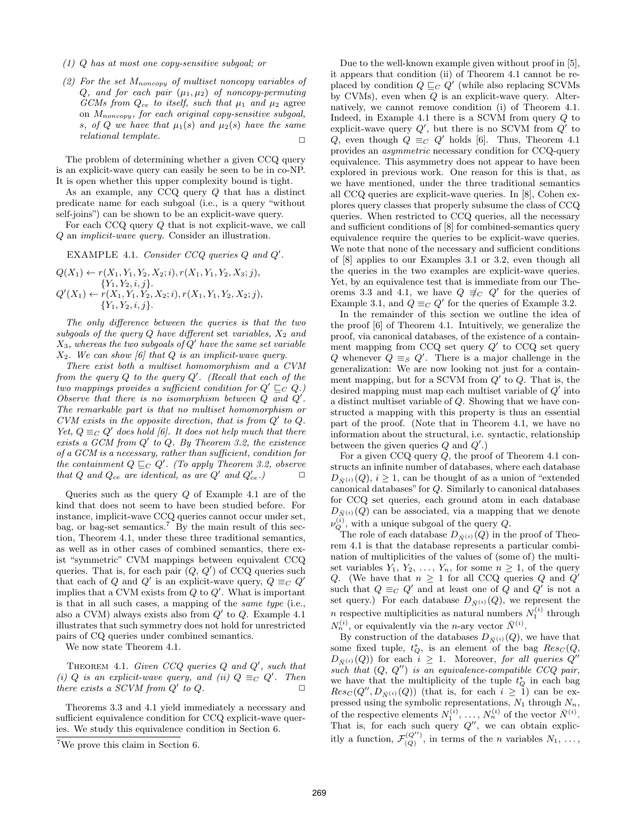- (1) Q has at most one copy-sensitive subgoal; or
- (2) For the set  $M_{noncopy}$  of multiset noncopy variables of Q, and for each pair  $(\mu_1, \mu_2)$  of noncopy-permuting GCMs from  $Q_{ce}$  to itself, such that  $\mu_1$  and  $\mu_2$  agree on  $M_{noncopy}$ , for each original copy-sensitive subgoal, s, of Q we have that  $\mu_1(s)$  and  $\mu_2(s)$  have the same relational template.  $\Box$

The problem of determining whether a given CCQ query is an explicit-wave query can easily be seen to be in co-NP. It is open whether this upper complexity bound is tight.

As an example, any CCQ query Q that has a distinct predicate name for each subgoal (i.e., is a query "without self-joins") can be shown to be an explicit-wave query.

For each CCQ query Q that is not explicit-wave, we call Q an implicit-wave query. Consider an illustration.

EXAMPLE 4.1. Consider CCQ queries  $Q$  and  $Q'$ .

$$
Q(X_1) \leftarrow r(X_1, Y_1, Y_2, X_2; i), r(X_1, Y_1, Y_2, X_3; j), \n{Y_1, Y_2, i, j}.
$$
  
\n
$$
Q'(X_1) \leftarrow r(X_1, Y_1, Y_2, X_2; i), r(X_1, Y_1, Y_2, X_2; j), \n{Y_1, Y_2, i, j}.
$$

The only difference between the queries is that the two subgoals of the query  $Q$  have different set variables,  $X_2$  and  $X_3$ , whereas the two subgoals of  $Q'$  have the same set variable  $X_2$ . We can show [6] that Q is an implicit-wave query.

There exist both a multiset homomorphism and a CVM from the query  $Q$  to the query  $Q'$ . (Recall that each of the two mappings provides a sufficient condition for  $Q' \sqsubseteq_C Q$ .) Observe that there is no isomorphism between  $Q$  and  $Q'$ . The remarkable part is that no multiset homomorphism or CVM exists in the opposite direction, that is from  $Q'$  to  $Q$ . Yet,  $Q \equiv_C Q'$  does hold [6]. It does not help much that there exists a GCM from  $Q'$  to  $Q$ . By Theorem 3.2, the existence of a GCM is a necessary, rather than sufficient, condition for the containment  $Q \sqsubseteq_C Q'$ . (To apply Theorem 3.2, observe that Q and  $Q_{ce}$  are identical, as are Q' and  $Q'_{ce}$ .)

Queries such as the query  $Q$  of Example 4.1 are of the kind that does not seem to have been studied before. For instance, implicit-wave CCQ queries cannot occur under set, bag, or bag-set semantics.<sup>7</sup> By the main result of this section, Theorem 4.1, under these three traditional semantics, as well as in other cases of combined semantics, there exist "symmetric" CVM mappings between equivalent CCQ queries. That is, for each pair  $(Q, Q')$  of CCQ queries such that each of Q and Q' is an explicit-wave query,  $Q \equiv_C Q'$ implies that a CVM exists from  $Q$  to  $Q'$ . What is important is that in all such cases, a mapping of the same type (i.e., also a CVM) always exists also from  $Q'$  to  $Q$ . Example 4.1 illustrates that such symmetry does not hold for unrestricted pairs of CQ queries under combined semantics.

We now state Theorem 4.1.

THEOREM 4.1. Given CCQ queries  $Q$  and  $Q'$ , such that (i) Q is an explicit-wave query, and (ii)  $Q \equiv_C Q'$ . Then there exists a SCVM from  $Q'$  to  $Q$ .

Theorems 3.3 and 4.1 yield immediately a necessary and sufficient equivalence condition for CCQ explicit-wave queries. We study this equivalence condition in Section 6.

Due to the well-known example given without proof in [5], it appears that condition (ii) of Theorem 4.1 cannot be replaced by condition  $Q \sqsubseteq_C Q'$  (while also replacing SCVMs by CVMs), even when  $Q$  is an explicit-wave query. Alternatively, we cannot remove condition (i) of Theorem 4.1. Indeed, in Example 4.1 there is a SCVM from query Q to explicit-wave query  $Q'$ , but there is no SCVM from  $Q'$  to Q, even though  $Q \equiv_C Q'$  holds [6]. Thus, Theorem 4.1 provides an asymmetric necessary condition for CCQ-query equivalence. This asymmetry does not appear to have been explored in previous work. One reason for this is that, as we have mentioned, under the three traditional semantics all CCQ queries are explicit-wave queries. In [8], Cohen explores query classes that properly subsume the class of CCQ queries. When restricted to CCQ queries, all the necessary and sufficient conditions of [8] for combined-semantics query equivalence require the queries to be explicit-wave queries. We note that none of the necessary and sufficient conditions of [8] applies to our Examples 3.1 or 3.2, even though all the queries in the two examples are explicit-wave queries. Yet, by an equivalence test that is immediate from our Theorems 3.3 and 4.1, we have  $Q \not\equiv_C Q'$  for the queries of Example 3.1, and  $Q \equiv_C Q'$  for the queries of Example 3.2.

In the remainder of this section we outline the idea of the proof [6] of Theorem 4.1. Intuitively, we generalize the proof, via canonical databases, of the existence of a containment mapping from CCQ set query  $Q'$  to CCQ set query Q whenever  $Q \equiv_S Q'$ . There is a major challenge in the generalization: We are now looking not just for a containment mapping, but for a SCVM from  $Q'$  to  $Q$ . That is, the desired mapping must map each multiset variable of  $Q'$  into a distinct multiset variable of Q. Showing that we have constructed a mapping with this property is thus an essential part of the proof. (Note that in Theorem 4.1, we have no information about the structural, i.e. syntactic, relationship between the given queries  $Q$  and  $Q'$ .)

For a given CCQ query Q, the proof of Theorem 4.1 constructs an infinite number of databases, where each database  $D_{\bar{N}(i)}(Q), i \geq 1$ , can be thought of as a union of "extended" canonical databases" for Q. Similarly to canonical databases for CCQ set queries, each ground atom in each database  $D_{\bar{N}^{(i)}}(Q)$  can be associated, via a mapping that we denote  $\nu_Q^{(i)}$ , with a unique subgoal of the query  $Q$ .

The role of each database  $D_{\bar{N}^{(i)}}(Q)$  in the proof of Theorem 4.1 is that the database represents a particular combination of multiplicities of the values of (some of) the multiset variables  $Y_1, Y_2, \ldots, Y_n$ , for some  $n \geq 1$ , of the query Q. (We have that  $n \geq 1$  for all CCQ queries Q and  $Q'$ such that  $Q \equiv_C Q'$  and at least one of  $\overline{Q}$  and  $Q'$  is not a set query.) For each database  $D_{\bar{N}^{(i)}}(Q)$ , we represent the *n* respective multiplicities as natural numbers  $N_1^{(i)}$  through  $N_n^{(i)}$ , or equivalently via the *n*-ary vector  $\bar{N}^{(i)}$ .

By construction of the databases  $D_{\bar{N}^{(i)}}(Q)$ , we have that some fixed tuple,  $t_Q^*$ , is an element of the bag  $Res_C(Q, \mathcal{L})$  $D_{\bar{N}^{(i)}}(Q)$  for each  $i \geq 1$ . Moreover, for all queries  $Q''$ such that  $(Q, Q'')$  is an equivalence-compatible CCQ pair, we have that the multiplicity of the tuple  $t^*_{Q}$  in each bag  $Res_C(Q'', D_{\bar{N}^{(i)}}(Q))$  (that is, for each  $i \geq 1$ ) can be expressed using the symbolic representations,  $N_1$  through  $N_n$ , of the respective elements  $N_1^{(i)}, \ldots, N_n^{(i)}$  of the vector  $\bar{N}^{(i)}$ . That is, for each such query  $Q''$ , we can obtain explicitly a function,  $\mathcal{F}_{(Q)}^{(Q'')}$ , in terms of the *n* variables  $N_1, \ldots,$ 

<sup>7</sup>We prove this claim in Section 6.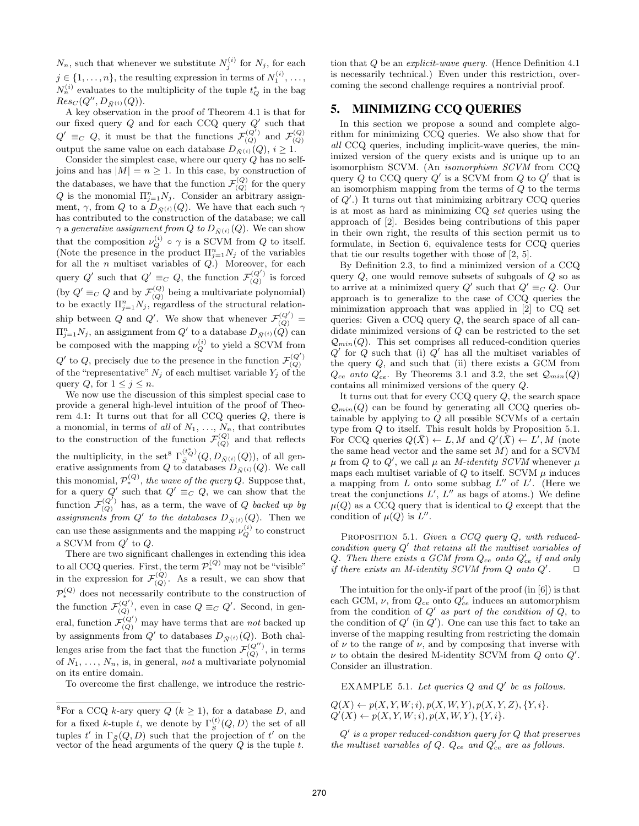$N_n$ , such that whenever we substitute  $N_j^{(i)}$  for  $N_j$ , for each  $j \in \{1, \ldots, n\}$ , the resulting expression in terms of  $N_1^{(i)}, \ldots$ ,  $N_n^{(i)}$  evaluates to the multiplicity of the tuple  $t_Q^*$  in the bag  $Res_C(Q'', D_{\bar{N}^{(i)}}(Q)).$ 

A key observation in the proof of Theorem 4.1 is that for our fixed query  $Q$  and for each CCQ query  $Q'$  such that  $Q' \equiv_C Q$ , it must be that the functions  $\mathcal{F}_{(Q)}^{(Q')}$  and  $\mathcal{F}_{(Q)}^{(Q)}$  output the same value on each database  $D_{\bar{N}^{(i)}}(Q), i \geq 1$ .

Consider the simplest case, where our query  $Q$  has no selfjoins and has  $|M| = n \ge 1$ . In this case, by construction of the databases, we have that the function  $\mathcal{F}_{(Q)}^{(Q)}$  for the query Q is the monomial  $\Pi_{j=1}^n N_j$ . Consider an arbitrary assignment,  $\gamma$ , from Q to a  $D_{\bar{N}^{(i)}}(Q)$ . We have that each such  $\gamma$ has contributed to the construction of the database; we call  $\gamma$  a generative assignment from Q to  $D_{\bar{N}^{(i)}}(Q)$ . We can show that the composition  $\nu_Q^{(i)} \circ \gamma$  is a SCVM from Q to itself. (Note the presence in the product  $\Pi_{j=1}^n N_j$  of the variables for all the  $n$  multiset variables of  $Q$ .) Moreover, for each query  $Q'$  such that  $Q' \equiv_C Q$ , the function  $\mathcal{F}_{(Q)}^{(Q')}$  is forced (by  $Q' \equiv_C Q$  and by  $\mathcal{F}_{(Q)}^{(Q)}$  being a multivariate polynomial) to be exactly  $\prod_{j=1}^n N_j$ , regardless of the structural relationship between Q and Q'. We show that whenever  $\mathcal{F}_{(Q)}^{(Q')}$  =  $\Pi_{j=1}^n N_j$ , an assignment from  $Q'$  to a database  $D_{\bar{N}^{(i)}}(Q)$  can be composed with the mapping  $\nu_Q^{(i)}$  to yield a SCVM from  $Q'$  to  $Q$ , precisely due to the presence in the function  $\mathcal{F}_{(Q)}^{(Q')}$ of the "representative"  $N_j$  of each multiset variable  $Y_j$  of the query  $Q$ , for  $1 \leq j \leq n$ .

We now use the discussion of this simplest special case to provide a general high-level intuition of the proof of Theorem 4.1: It turns out that for all CCQ queries Q, there is a monomial, in terms of all of  $N_1, \ldots, N_n$ , that contributes to the construction of the function  $\mathcal{F}_{(Q)}^{(Q)}$  and that reflects the multiplicity, in the set<sup>8</sup>  $\Gamma_{\bar{S}}^{(t_{\bar{Q}}^{*})}(Q, D_{\bar{N}^{(i)}}(Q)),$  of all generative assignments from  $Q$  to databases  $D_{\bar{N}^{(i)}}(Q)$ . We call this monomial,  $\mathcal{P}_{*}^{(Q)}$ , the wave of the query Q. Suppose that, for a query Q' such that  $Q' \equiv_C Q$ , we can show that the function  $\mathcal{F}_{(Q)}^{(Q')}$  has, as a term, the wave of Q backed up by assignments from  $Q'$  to the databases  $D_{\bar{N}^{(i)}}(Q)$ . Then we can use these assignments and the mapping  $\nu_Q^{(i)}$  to construct a SCVM from  $Q'$  to  $Q$ .

There are two significant challenges in extending this idea to all CCQ queries. First, the term  $\mathcal{P}_*^{(Q)}$  may not be "visible" in the expression for  $\mathcal{F}_{(Q)}^{(Q)}$ . As a result, we can show that  $\mathcal{P}_{*}^{(Q)}$  does not necessarily contribute to the construction of the function  $\mathcal{F}_{(Q)}^{(Q')}$ , even in case  $Q \equiv_C Q'$ . Second, in general, function  $\mathcal{F}_{(Q)}^{(Q')}$  may have terms that are *not* backed up by assignments from  $Q'$  to databases  $D_{\bar{N}^{(i)}}(Q)$ . Both challenges arise from the fact that the function  $\mathcal{F}_{(Q)}^{(Q'')}$ , in terms of  $N_1, \ldots, N_n$ , is, in general, not a multivariate polynomial on its entire domain.

To overcome the first challenge, we introduce the restric-

tion that Q be an explicit-wave query. (Hence Definition 4.1 is necessarily technical.) Even under this restriction, overcoming the second challenge requires a nontrivial proof.

# 5. MINIMIZING CCQ QUERIES

In this section we propose a sound and complete algorithm for minimizing CCQ queries. We also show that for all CCQ queries, including implicit-wave queries, the minimized version of the query exists and is unique up to an isomorphism SCVM. (An isomorphism SCVM from CCQ query  $\overline{Q}$  to CCQ query  $Q'$  is a SCVM from  $Q$  to  $Q'$  that is an isomorphism mapping from the terms of Q to the terms of  $Q'$ .) It turns out that minimizing arbitrary CCQ queries is at most as hard as minimizing CQ set queries using the approach of [2]. Besides being contributions of this paper in their own right, the results of this section permit us to formulate, in Section 6, equivalence tests for CCQ queries that tie our results together with those of [2, 5].

By Definition 2.3, to find a minimized version of a CCQ query  $Q$ , one would remove subsets of subgoals of  $Q$  so as to arrive at a minimized query  $Q'$  such that  $Q' \equiv_C Q$ . Our approach is to generalize to the case of CCQ queries the minimization approach that was applied in [2] to CQ set queries: Given a CCQ query Q, the search space of all candidate minimized versions of Q can be restricted to the set  $\mathcal{Q}_{min}(Q)$ . This set comprises all reduced-condition queries  $Q'$  for  $\tilde{Q}$  such that (i)  $\tilde{Q}'$  has all the multiset variables of the query  $Q$ , and such that (ii) there exists a GCM from  $Q_{ce}$  onto  $Q'_{ce}$ . By Theorems 3.1 and 3.2, the set  $\mathcal{Q}_{min}(Q)$ contains all minimized versions of the query Q.

It turns out that for every  $CCQ$  query  $Q$ , the search space  $\mathcal{Q}_{min}(Q)$  can be found by generating all CCQ queries obtainable by applying to Q all possible SCVMs of a certain type from Q to itself. This result holds by Proposition 5.1. For CCQ queries  $Q(\bar{X}) \leftarrow L, M$  and  $Q'(\bar{X}) \leftarrow L', M$  (note the same head vector and the same set  $M$ ) and for a SCVM  $\mu$  from Q to Q', we call  $\mu$  an *M-identity SCVM* whenever  $\mu$ maps each multiset variable of  $Q$  to itself. SCVM  $\mu$  induces a mapping from  $L$  onto some subbag  $L''$  of  $L'$ . (Here we treat the conjunctions  $L'$ ,  $L''$  as bags of atoms.) We define  $\mu(Q)$  as a CCQ query that is identical to Q except that the condition of  $\mu(Q)$  is  $L''$ .

PROPOSITION 5.1. Given a CCQ query Q, with reducedcondition query  $Q'$  that retains all the multiset variables of Q. Then there exists a GCM from  $Q_{ce}$  onto  $Q'_{ce}$  if and only if there exists an M-identity SCVM from  $Q$  onto  $Q'$ .  $\Box$ 

The intuition for the only-if part of the proof (in [6]) is that each GCM,  $\nu$ , from  $Q_{ce}$  onto  $Q_{ce}'$  induces an automorphism from the condition of  $Q'$  as part of the condition of  $Q$ , to the condition of  $Q'$  (in  $Q'$ ). One can use this fact to take an inverse of the mapping resulting from restricting the domain of  $\nu$  to the range of  $\nu$ , and by composing that inverse with  $\nu$  to obtain the desired M-identity SCVM from  $Q$  onto  $Q'$ . Consider an illustration.

EXAMPLE 5.1. Let queries  $Q$  and  $Q'$  be as follows.

 $Q(X) \leftarrow p(X, Y, W; i), p(X, W, Y), p(X, Y, Z), \{Y, i\}.$  $Q'(X) \leftarrow p(X, Y, W; i), p(X, W, Y), \{Y, i\}.$ 

 $Q'$  is a proper reduced-condition query for  $Q$  that preserves the multiset variables of  $Q$ .  $Q_{ce}$  and  $Q'_{ce}$  are as follows.

<sup>&</sup>lt;sup>8</sup>For a CCQ *k*-ary query  $Q$  ( $k \ge 1$ ), for a database  $D$ , and for a fixed k-tuple t, we denote by  $\Gamma_{\bar{S}}^{(t)}(Q, D)$  the set of all tuples  $t'$  in  $\Gamma_{\bar{S}}(Q, D)$  such that the projection of  $t'$  on the vector of the head arguments of the query  $Q$  is the tuple  $t$ .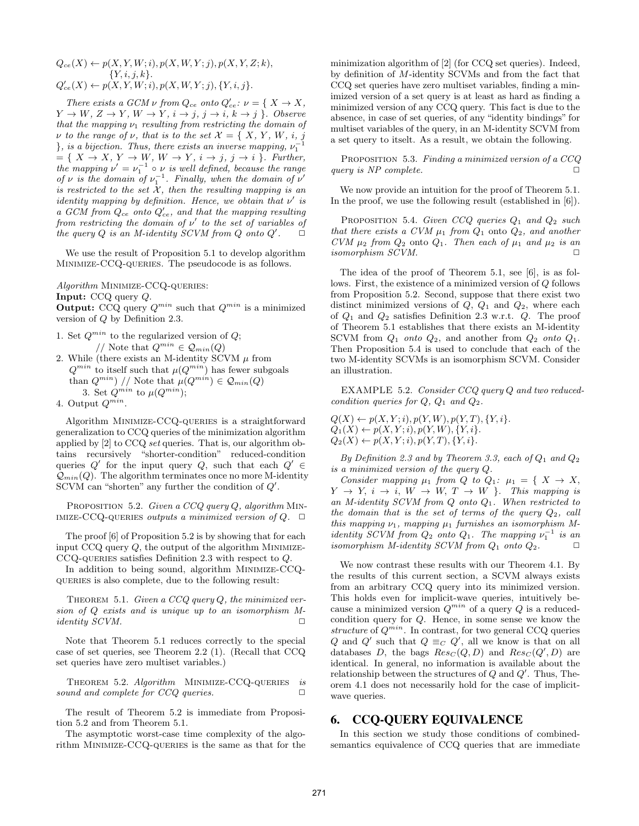$$
Q_{ce}(X) \leftarrow p(X, Y, W; i), p(X, W, Y; j), p(X, Y, Z; k), \{Y, i, j, k\}.
$$
  
\n
$$
Q'_{ce}(X) \leftarrow p(X, Y, W; i), p(X, W, Y; j), \{Y, i, j\}.
$$

There exists a GCM  $\nu$  from  $Q_{ce}$  onto  $Q'_{ce}$ :  $\nu = \{ X \to X, \}$  $Y \to W$ ,  $Z \to Y$ ,  $W \to Y$ ,  $i \to j$ ,  $j \to i$ ,  $k \to j$  }. Observe that the mapping  $\nu_1$  resulting from restricting the domain of  $\nu$  to the range of  $\nu$ , that is to the set  $\mathcal{X} = \{ X, Y, W, i, j \}$ }, is a bijection. Thus, there exists an inverse mapping,  $\nu_1^{-1}$  $=\{ X \rightarrow X, Y \rightarrow W, W \rightarrow Y, i \rightarrow j, j \rightarrow i \}.$  Further, the mapping  $\nu' = \nu_1^{-1} \circ \nu$  is well defined, because the range of  $\nu$  is the domain of  $\nu_1^{-1}$ . Finally, when the domain of  $\nu'$ is restricted to the set  $\mathcal{X}$ , then the resulting mapping is an identity mapping by definition. Hence, we obtain that  $\nu'$  is a GCM from  $Q_{ce}$  onto  $Q_{ce}'$ , and that the mapping resulting from restricting the domain of  $\nu'$  to the set of variables of the query  $Q$  is an M-identity SCVM from  $Q$  onto  $Q'$ .  $\Box$ 

We use the result of Proposition 5.1 to develop algorithm Minimize-CCQ-queries. The pseudocode is as follows.

Algorithm MINIMIZE-CCQ-QUERIES:

Input: CCQ query Q.

**Output:** CCQ query  $Q^{min}$  such that  $Q^{min}$  is a minimized version of Q by Definition 2.3.

- 1. Set  $Q^{min}$  to the regularized version of  $Q$ ; // Note that  $Q^{min} \in \mathcal{Q}_{min}(Q)$
- 2. While (there exists an M-identity SCVM  $\mu$  from  $Q^{min}$  to itself such that  $\mu(Q^{min})$  has fewer subgoals than  $Q^{min}$  // Note that  $\mu(Q^{min}) \in \mathcal{Q}_{min}(Q)$ 3. Set  $Q^{min}$  to  $\mu(Q^{min})$ ;

4. Output  $Q^{min}$ .

Algorithm Minimize-CCQ-queries is a straightforward generalization to CCQ queries of the minimization algorithm applied by [2] to CCQ set queries. That is, our algorithm obtains recursively "shorter-condition" reduced-condition queries  $Q'$  for the input query  $Q$ , such that each  $Q' \in$  $Q_{min}(Q)$ . The algorithm terminates once no more M-identity SCVM can "shorten" any further the condition of  $Q'$ .

PROPOSITION 5.2. Given a CCQ query  $Q$ , algorithm MIN-IMIZE-CCQ-QUERIES outputs a minimized version of  $Q$ .  $\Box$ 

The proof [6] of Proposition 5.2 is by showing that for each input  $CCQ$  query  $Q$ , the output of the algorithm MINIMIZE-CCQ-QUERIES satisfies Definition 2.3 with respect to  $Q$ .

In addition to being sound, algorithm Minimize-CCQqueries is also complete, due to the following result:

THEOREM 5.1. Given a CCQ query  $Q$ , the minimized version of Q exists and is unique up to an isomorphism M $identity$  SCVM.

Note that Theorem 5.1 reduces correctly to the special case of set queries, see Theorem 2.2 (1). (Recall that CCQ set queries have zero multiset variables.)

THEOREM 5.2. Algorithm MINIMIZE-CCQ-QUERIES is sound and complete for  $CCQ$  queries.  $\Box$ 

The result of Theorem 5.2 is immediate from Proposition 5.2 and from Theorem 5.1.

The asymptotic worst-case time complexity of the algorithm Minimize-CCQ-queries is the same as that for the minimization algorithm of [2] (for CCQ set queries). Indeed, by definition of M-identity SCVMs and from the fact that CCQ set queries have zero multiset variables, finding a minimized version of a set query is at least as hard as finding a minimized version of any CCQ query. This fact is due to the absence, in case of set queries, of any "identity bindings" for multiset variables of the query, in an M-identity SCVM from a set query to itselt. As a result, we obtain the following.

PROPOSITION 5.3. Finding a minimized version of a CCQ query is  $NP$  complete.  $\Box$ 

We now provide an intuition for the proof of Theorem 5.1. In the proof, we use the following result (established in [6]).

PROPOSITION 5.4. Given CCQ queries  $Q_1$  and  $Q_2$  such that there exists a CVM  $\mu_1$  from  $Q_1$  onto  $Q_2$ , and another CVM  $\mu_2$  from  $Q_2$  onto  $Q_1$ . Then each of  $\mu_1$  and  $\mu_2$  is an isomorphism SCVM.

The idea of the proof of Theorem 5.1, see [6], is as follows. First, the existence of a minimized version of Q follows from Proposition 5.2. Second, suppose that there exist two distinct minimized versions of  $Q$ ,  $Q_1$  and  $Q_2$ , where each of  $Q_1$  and  $Q_2$  satisfies Definition 2.3 w.r.t.  $Q$ . The proof of Theorem 5.1 establishes that there exists an M-identity SCVM from  $Q_1$  onto  $Q_2$ , and another from  $Q_2$  onto  $Q_1$ . Then Proposition 5.4 is used to conclude that each of the two M-identity SCVMs is an isomorphism SCVM. Consider an illustration.

EXAMPLE 5.2. Consider CCQ query Q and two reducedcondition queries for  $Q$ ,  $Q_1$  and  $Q_2$ .

 $Q(X) \leftarrow p(X, Y; i), p(Y, W), p(Y, T), \{Y, i\}.$  $Q_1(X) \leftarrow p(X, Y; i), p(Y, W), \{Y, i\}.$  $Q_2(X) \leftarrow p(X, Y; i), p(Y, T), \{Y, i\}.$ 

By Definition 2.3 and by Theorem 3.3, each of  $Q_1$  and  $Q_2$ is a minimized version of the query Q.

Consider mapping  $\mu_1$  from Q to  $Q_1$ :  $\mu_1 = \{ X \rightarrow X,$  $Y \rightarrow Y$ ,  $i \rightarrow i$ ,  $W \rightarrow W$ ,  $T \rightarrow W$  }. This mapping is an M-identity SCVM from  $Q$  onto  $Q_1$ . When restricted to the domain that is the set of terms of the query  $Q_2$ , call this mapping  $\nu_1$ , mapping  $\mu_1$  furnishes an isomorphism Midentity SCVM from  $Q_2$  onto  $Q_1$ . The mapping  $\nu_1^{-1}$  is an isomorphism M-identity SCVM from  $Q_1$  onto  $Q_2$ .

We now contrast these results with our Theorem 4.1. By the results of this current section, a SCVM always exists from an arbitrary CCQ query into its minimized version. This holds even for implicit-wave queries, intuitively because a minimized version  $Q^{min}$  of a query Q is a reducedcondition query for Q. Hence, in some sense we know the structure of  $Q^{min}$ . In contrast, for two general CCQ queries Q and Q' such that  $Q \equiv_C Q'$ , all we know is that on all databases D, the bags  $Res_C(Q, D)$  and  $Res_C(Q', D)$  are identical. In general, no information is available about the relationship between the structures of  $Q$  and  $Q'$ . Thus, Theorem 4.1 does not necessarily hold for the case of implicitwave queries.

# 6. CCQ-QUERY EQUIVALENCE

In this section we study those conditions of combinedsemantics equivalence of CCQ queries that are immediate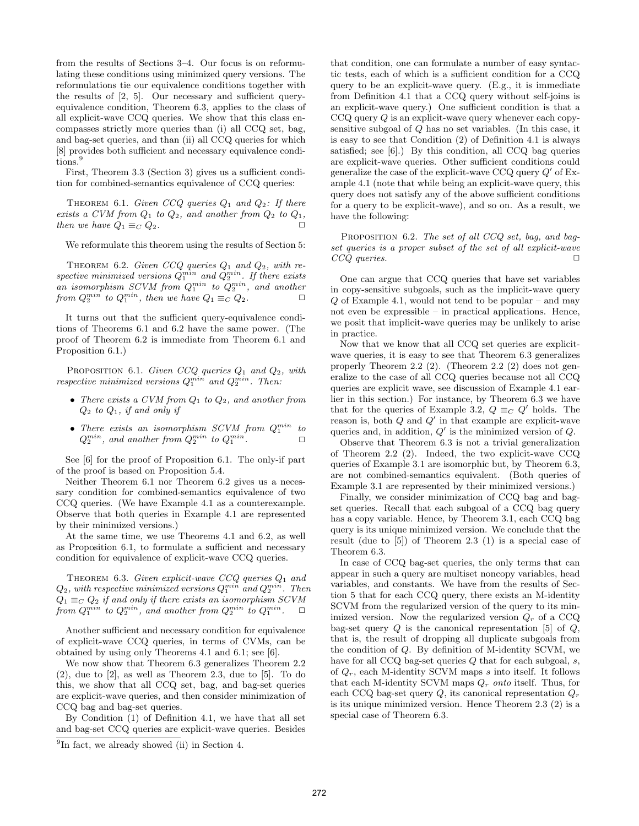from the results of Sections 3–4. Our focus is on reformulating these conditions using minimized query versions. The reformulations tie our equivalence conditions together with the results of [2, 5]. Our necessary and sufficient queryequivalence condition, Theorem 6.3, applies to the class of all explicit-wave CCQ queries. We show that this class encompasses strictly more queries than (i) all CCQ set, bag, and bag-set queries, and than (ii) all CCQ queries for which [8] provides both sufficient and necessary equivalence conditions.<sup>9</sup>

First, Theorem 3.3 (Section 3) gives us a sufficient condition for combined-semantics equivalence of CCQ queries:

THEOREM 6.1. Given CCQ queries  $Q_1$  and  $Q_2$ : If there exists a CVM from  $Q_1$  to  $Q_2$ , and another from  $Q_2$  to  $Q_1$ , then we have  $Q_1 \equiv_C Q_2$ .

We reformulate this theorem using the results of Section 5:

THEOREM 6.2. Given CCQ queries  $Q_1$  and  $Q_2$ , with respective minimized versions  $Q_1^{min}$  and  $Q_2^{min}$ . If there exists an isomorphism SCVM from  $Q_1^{min}$  to  $Q_2^{min}$ , and another from  $Q_2^{min}$  to  $Q_1^{min}$ , then we have  $Q_1 \equiv_C Q_2$ .

It turns out that the sufficient query-equivalence conditions of Theorems 6.1 and 6.2 have the same power. (The proof of Theorem 6.2 is immediate from Theorem 6.1 and Proposition 6.1.)

PROPOSITION 6.1. Given CCQ queries  $Q_1$  and  $Q_2$ , with respective minimized versions  $Q_1^{min}$  and  $Q_2^{min}$ . Then:

- There exists a CVM from  $Q_1$  to  $Q_2$ , and another from  $Q_2$  to  $Q_1$ , if and only if
- There exists an isomorphism SCVM from  $Q_1^{min}$  to  $Q_2^{min}$ , and another from  $Q_2^{min}$  to  $Q_1^{min}$ .  $\Box$

See [6] for the proof of Proposition 6.1. The only-if part of the proof is based on Proposition 5.4.

Neither Theorem 6.1 nor Theorem 6.2 gives us a necessary condition for combined-semantics equivalence of two CCQ queries. (We have Example 4.1 as a counterexample. Observe that both queries in Example 4.1 are represented by their minimized versions.)

At the same time, we use Theorems 4.1 and 6.2, as well as Proposition 6.1, to formulate a sufficient and necessary condition for equivalence of explicit-wave CCQ queries.

THEOREM 6.3. Given explicit-wave CCQ queries  $Q_1$  and  $Q_2$ , with respective minimized versions  $Q_1^{min}$  and  $Q_2^{min}$ . Then  $Q_1 \equiv_C Q_2$  if and only if there exists an isomorphism SCVM from  $Q_1^{min}$  to  $Q_2^{min}$ , and another from  $Q_2^{min}$  to  $Q_1^{min}$ .  $\Box$ 

Another sufficient and necessary condition for equivalence of explicit-wave CCQ queries, in terms of CVMs, can be obtained by using only Theorems 4.1 and 6.1; see [6].

We now show that Theorem 6.3 generalizes Theorem 2.2 (2), due to [2], as well as Theorem 2.3, due to [5]. To do this, we show that all CCQ set, bag, and bag-set queries are explicit-wave queries, and then consider minimization of CCQ bag and bag-set queries.

By Condition (1) of Definition 4.1, we have that all set and bag-set CCQ queries are explicit-wave queries. Besides that condition, one can formulate a number of easy syntactic tests, each of which is a sufficient condition for a CCQ query to be an explicit-wave query. (E.g., it is immediate from Definition 4.1 that a CCQ query without self-joins is an explicit-wave query.) One sufficient condition is that a  $CCQ$  query  $Q$  is an explicit-wave query whenever each copysensitive subgoal of Q has no set variables. (In this case, it is easy to see that Condition (2) of Definition 4.1 is always satisfied; see [6].) By this condition, all CCQ bag queries are explicit-wave queries. Other sufficient conditions could generalize the case of the explicit-wave CCQ query  $Q'$  of Example 4.1 (note that while being an explicit-wave query, this query does not satisfy any of the above sufficient conditions for a query to be explicit-wave), and so on. As a result, we have the following:

PROPOSITION 6.2. The set of all CCQ set, bag, and bagset queries is a proper subset of the set of all explicit-wave  $CCQ$  queries.  $\square$ 

One can argue that CCQ queries that have set variables in copy-sensitive subgoals, such as the implicit-wave query  $Q$  of Example 4.1, would not tend to be popular – and may not even be expressible – in practical applications. Hence, we posit that implicit-wave queries may be unlikely to arise in practice.

Now that we know that all CCQ set queries are explicitwave queries, it is easy to see that Theorem 6.3 generalizes properly Theorem 2.2 (2). (Theorem 2.2 (2) does not generalize to the case of all CCQ queries because not all CCQ queries are explicit wave, see discussion of Example 4.1 earlier in this section.) For instance, by Theorem 6.3 we have that for the queries of Example 3.2,  $Q \equiv_C Q'$  holds. The reason is, both  $Q$  and  $Q'$  in that example are explicit-wave queries and, in addition,  $Q'$  is the minimized version of  $Q$ .

Observe that Theorem 6.3 is not a trivial generalization of Theorem 2.2 (2). Indeed, the two explicit-wave CCQ queries of Example 3.1 are isomorphic but, by Theorem 6.3, are not combined-semantics equivalent. (Both queries of Example 3.1 are represented by their minimized versions.)

Finally, we consider minimization of CCQ bag and bagset queries. Recall that each subgoal of a CCQ bag query has a copy variable. Hence, by Theorem 3.1, each CCQ bag query is its unique minimized version. We conclude that the result (due to [5]) of Theorem 2.3 (1) is a special case of Theorem 6.3.

In case of CCQ bag-set queries, the only terms that can appear in such a query are multiset noncopy variables, head variables, and constants. We have from the results of Section 5 that for each CCQ query, there exists an M-identity SCVM from the regularized version of the query to its minimized version. Now the regularized version  $Q_r$  of a CCQ bag-set query  $Q$  is the canonical representation [5] of  $Q$ , that is, the result of dropping all duplicate subgoals from the condition of Q. By definition of M-identity SCVM, we have for all CCQ bag-set queries  $Q$  that for each subgoal,  $s$ , of  $Q_r$ , each M-identity SCVM maps s into itself. It follows that each M-identity SCVM maps  $Q_r$  onto itself. Thus, for each CCQ bag-set query  $Q$ , its canonical representation  $Q_r$ is its unique minimized version. Hence Theorem 2.3 (2) is a special case of Theorem 6.3.

<sup>&</sup>lt;sup>9</sup>In fact, we already showed (ii) in Section 4.